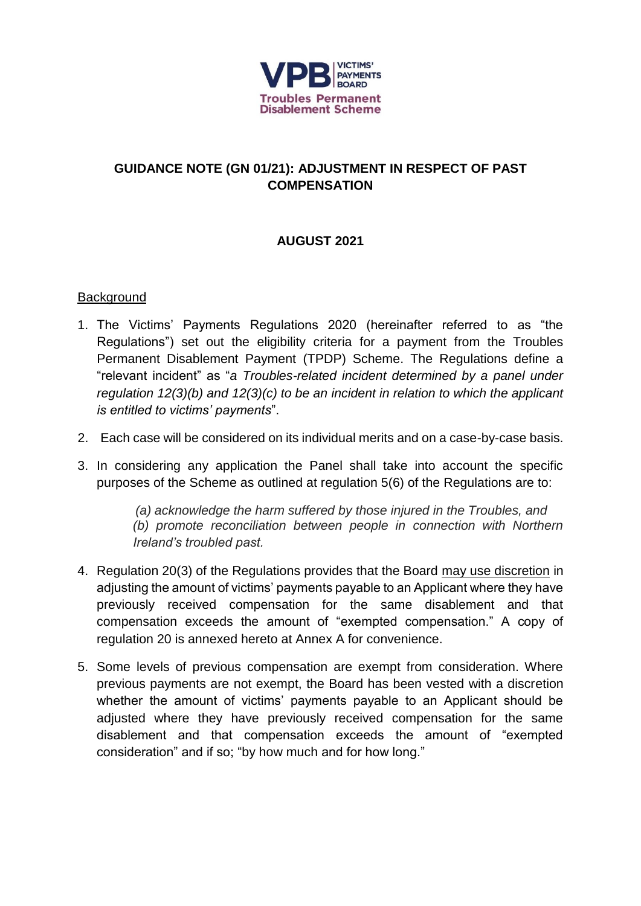

# **GUIDANCE NOTE (GN 01/21): ADJUSTMENT IN RESPECT OF PAST COMPENSATION**

# **AUGUST 2021**

### **Background**

- 1. The Victims' Payments Regulations 2020 (hereinafter referred to as "the Regulations") set out the eligibility criteria for a payment from the Troubles Permanent Disablement Payment (TPDP) Scheme. The Regulations define a "relevant incident" as "*a Troubles-related incident determined by a panel under regulation 12(3)(b) and 12(3)(c) to be an incident in relation to which the applicant is entitled to victims' payments*".
- 2. Each case will be considered on its individual merits and on a case-by-case basis.
- 3. In considering any application the Panel shall take into account the specific purposes of the Scheme as outlined at regulation 5(6) of the Regulations are to:

*(a) acknowledge the harm suffered by those injured in the Troubles, and (b) promote reconciliation between people in connection with Northern Ireland's troubled past.*

- 4. Regulation 20(3) of the Regulations provides that the Board may use discretion in adjusting the amount of victims' payments payable to an Applicant where they have previously received compensation for the same disablement and that compensation exceeds the amount of "exempted compensation." A copy of regulation 20 is annexed hereto at Annex A for convenience.
- 5. Some levels of previous compensation are exempt from consideration. Where previous payments are not exempt, the Board has been vested with a discretion whether the amount of victims' payments payable to an Applicant should be adjusted where they have previously received compensation for the same disablement and that compensation exceeds the amount of "exempted consideration" and if so; "by how much and for how long."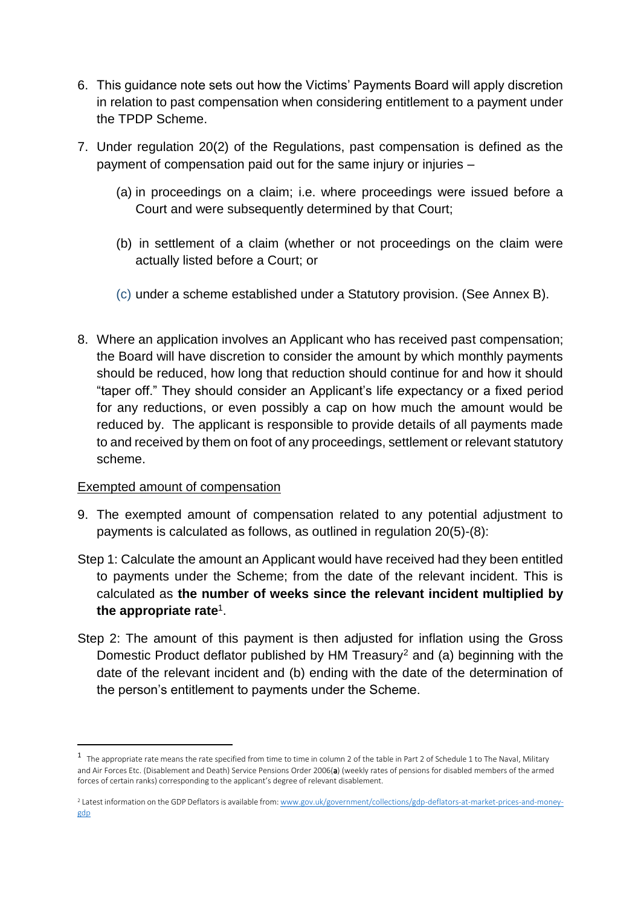- 6. This guidance note sets out how the Victims' Payments Board will apply discretion in relation to past compensation when considering entitlement to a payment under the TPDP Scheme.
- 7. Under regulation 20(2) of the Regulations, past compensation is defined as the payment of compensation paid out for the same injury or injuries –
	- (a) in proceedings on a claim; i.e. where proceedings were issued before a Court and were subsequently determined by that Court;
	- (b) in settlement of a claim (whether or not proceedings on the claim were actually listed before a Court; or
	- (c) under a scheme established under a Statutory provision. (See Annex B).
- 8. Where an application involves an Applicant who has received past compensation; the Board will have discretion to consider the amount by which monthly payments should be reduced, how long that reduction should continue for and how it should "taper off." They should consider an Applicant's life expectancy or a fixed period for any reductions, or even possibly a cap on how much the amount would be reduced by. The applicant is responsible to provide details of all payments made to and received by them on foot of any proceedings, settlement or relevant statutory scheme.

#### Exempted amount of compensation

**.** 

- 9. The exempted amount of compensation related to any potential adjustment to payments is calculated as follows, as outlined in regulation 20(5)-(8):
- Step 1: Calculate the amount an Applicant would have received had they been entitled to payments under the Scheme; from the date of the relevant incident. This is calculated as **the number of weeks since the relevant incident multiplied by the appropriate rate**<sup>1</sup> .
- Step 2: The amount of this payment is then adjusted for inflation using the Gross Domestic Product deflator published by HM Treasury<sup>2</sup> and (a) beginning with the date of the relevant incident and (b) ending with the date of the determination of the person's entitlement to payments under the Scheme.

<sup>&</sup>lt;sup>1</sup> The appropriate rate means the rate specified from time to time in column 2 of the table in Part 2 of Schedule 1 to The Naval, Military and Air Forces Etc. (Disablement and Death) Service Pensions Order 2006(a) (weekly rates of pensions for disabled members of the armed forces of certain ranks) corresponding to the applicant's degree of relevant disablement.

<sup>&</sup>lt;sup>2</sup> Latest information on the GDP Deflators is available from[: www.gov.uk/government/collections/gdp-deflators-at-market-prices-and-money](http://www.gov.uk/government/collections/gdp-deflators-at-market-prices-and-money-gdp)[gdp](http://www.gov.uk/government/collections/gdp-deflators-at-market-prices-and-money-gdp)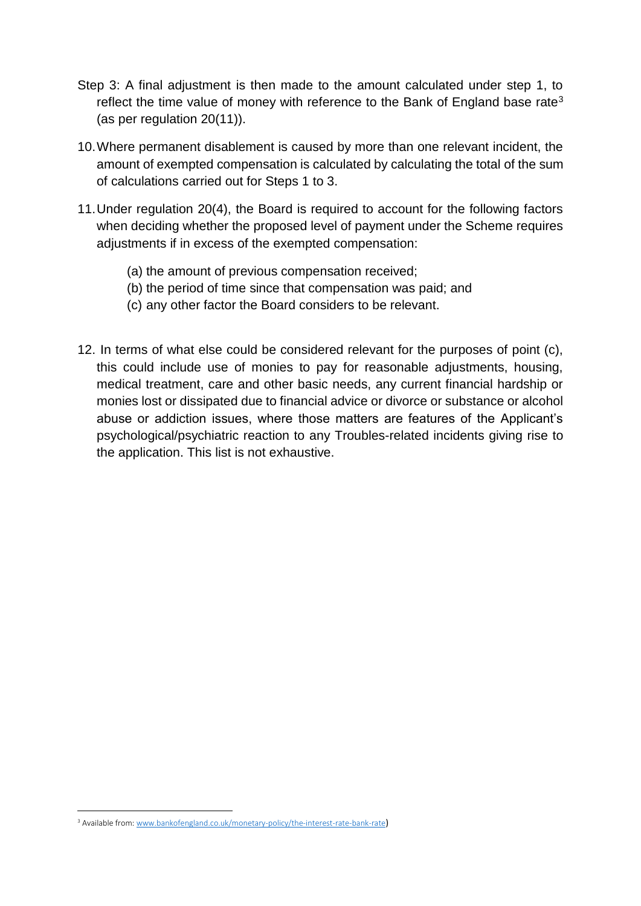- Step 3: A final adjustment is then made to the amount calculated under step 1, to reflect the time value of money with reference to the Bank of England base rate<sup>3</sup> (as per regulation 20(11)).
- 10.Where permanent disablement is caused by more than one relevant incident, the amount of exempted compensation is calculated by calculating the total of the sum of calculations carried out for Steps 1 to 3.
- 11.Under regulation 20(4), the Board is required to account for the following factors when deciding whether the proposed level of payment under the Scheme requires adjustments if in excess of the exempted compensation:
	- (a) the amount of previous compensation received;
	- (b) the period of time since that compensation was paid; and
	- (c) any other factor the Board considers to be relevant.
- 12. In terms of what else could be considered relevant for the purposes of point (c), this could include use of monies to pay for reasonable adjustments, housing, medical treatment, care and other basic needs, any current financial hardship or monies lost or dissipated due to financial advice or divorce or substance or alcohol abuse or addiction issues, where those matters are features of the Applicant's psychological/psychiatric reaction to any Troubles-related incidents giving rise to the application. This list is not exhaustive.

**.** 

<sup>&</sup>lt;sup>3</sup> Available from[: www.bankofengland.co.uk/monetary-policy/the-interest-rate-bank-rate](https://www.bankofengland.co.uk/monetary-policy/the-interest-rate-bank-rate))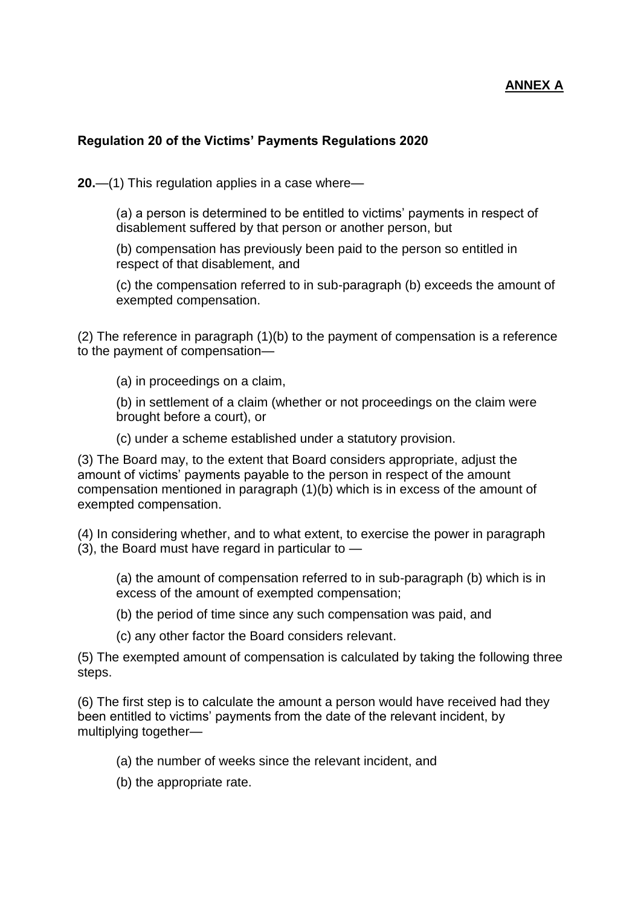# **ANNEX A**

#### **Regulation 20 of the Victims' Payments Regulations 2020**

**20.**—(1) This regulation applies in a case where—

(a) a person is determined to be entitled to victims' payments in respect of disablement suffered by that person or another person, but

(b) compensation has previously been paid to the person so entitled in respect of that disablement, and

(c) the compensation referred to in sub-paragraph (b) exceeds the amount of exempted compensation.

(2) The reference in paragraph (1)(b) to the payment of compensation is a reference to the payment of compensation—

(a) in proceedings on a claim,

(b) in settlement of a claim (whether or not proceedings on the claim were brought before a court), or

(c) under a scheme established under a statutory provision.

(3) The Board may, to the extent that Board considers appropriate, adjust the amount of victims' payments payable to the person in respect of the amount compensation mentioned in paragraph (1)(b) which is in excess of the amount of exempted compensation.

(4) In considering whether, and to what extent, to exercise the power in paragraph  $(3)$ , the Board must have regard in particular to  $-$ 

(a) the amount of compensation referred to in sub-paragraph (b) which is in excess of the amount of exempted compensation;

- (b) the period of time since any such compensation was paid, and
- (c) any other factor the Board considers relevant.

(5) The exempted amount of compensation is calculated by taking the following three steps.

(6) The first step is to calculate the amount a person would have received had they been entitled to victims' payments from the date of the relevant incident, by multiplying together—

- (a) the number of weeks since the relevant incident, and
- (b) the appropriate rate.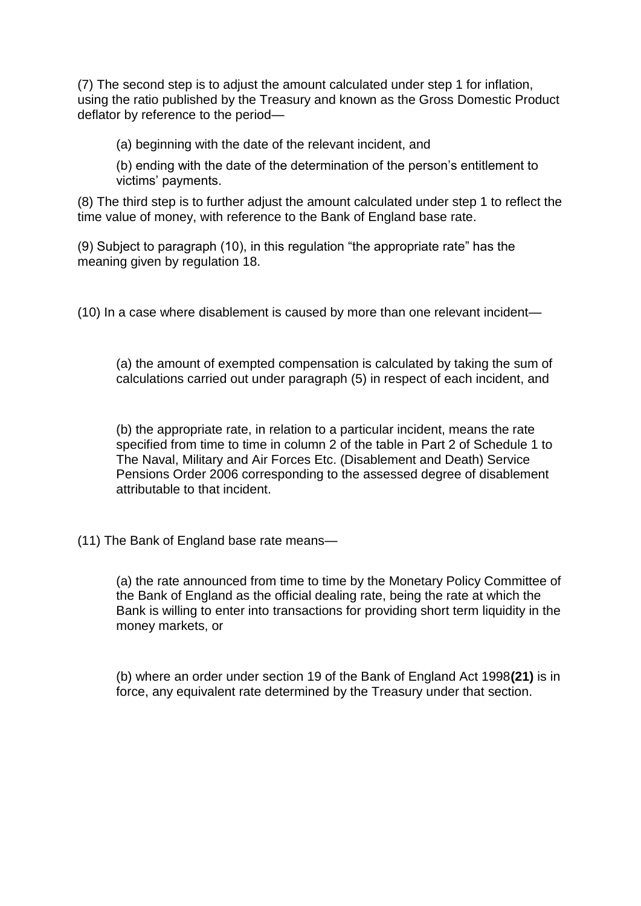(7) The second step is to adjust the amount calculated under step 1 for inflation, using the ratio published by the Treasury and known as the Gross Domestic Product deflator by reference to the period—

(a) beginning with the date of the relevant incident, and

(b) ending with the date of the determination of the person's entitlement to victims' payments.

(8) The third step is to further adjust the amount calculated under step 1 to reflect the time value of money, with reference to the Bank of England base rate.

(9) Subject to paragraph (10), in this regulation "the appropriate rate" has the meaning given by regulation 18.

(10) In a case where disablement is caused by more than one relevant incident—

(a) the amount of exempted compensation is calculated by taking the sum of calculations carried out under paragraph (5) in respect of each incident, and

(b) the appropriate rate, in relation to a particular incident, means the rate specified from time to time in column 2 of the table in Part 2 of Schedule 1 to The Naval, Military and Air Forces Etc. (Disablement and Death) Service Pensions Order 2006 corresponding to the assessed degree of disablement attributable to that incident.

(11) The Bank of England base rate means—

(a) the rate announced from time to time by the Monetary Policy Committee of the Bank of England as the official dealing rate, being the rate at which the Bank is willing to enter into transactions for providing short term liquidity in the money markets, or

(b) where an order under section 19 of the Bank of England Act 1998**(21)** is in force, any equivalent rate determined by the Treasury under that section.